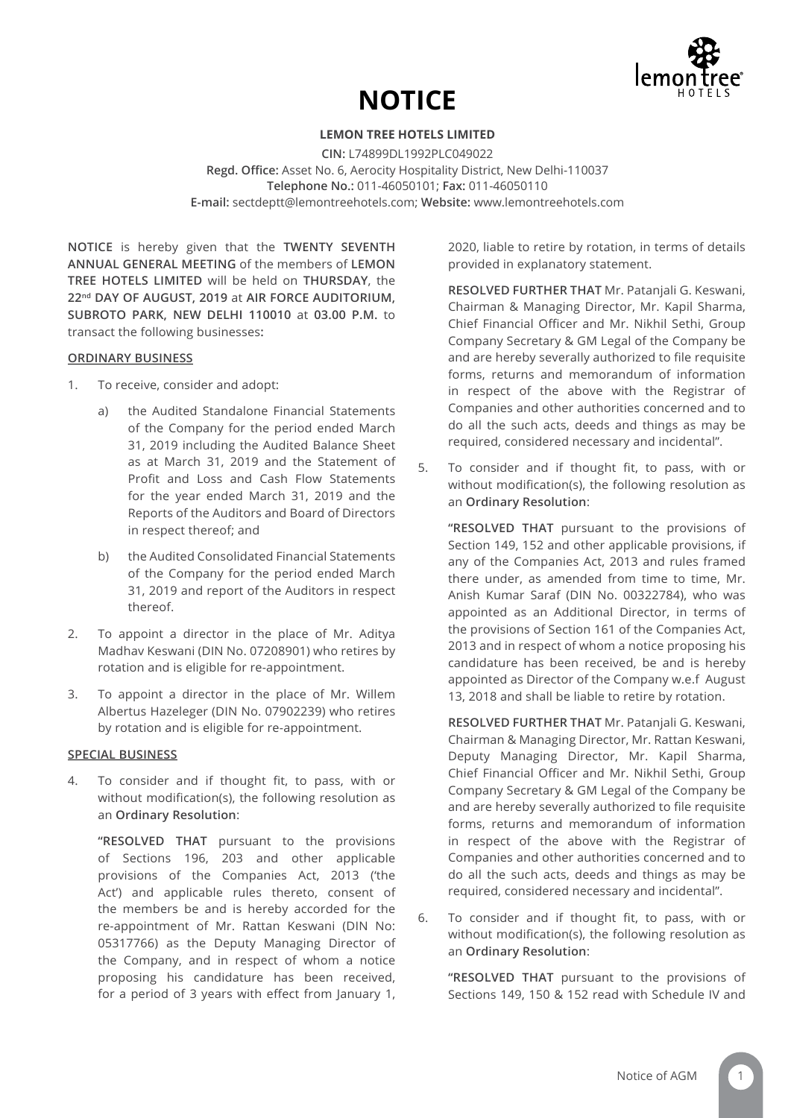

# **NOTICE**

# **LEMON TREE HOTELS LIMITED**

**CIN:** L74899DL1992PLC049022 **Regd. Office:** Asset No. 6, Aerocity Hospitality District, New Delhi-110037 **Telephone No.:** 011-46050101; **Fax:** 011-46050110 **E-mail:** sectdeptt@lemontreehotels.com; **Website:** www.lemontreehotels.com

**NOTICE** is hereby given that the **TWENTY SEVENTH ANNUAL GENERAL MEETING** of the members of **LEMON TREE HOTELS LIMITED** will be held on **THURSDAY**, the **22nd DAY OF AUGUST, 2019** at **AIR FORCE AUDITORIUM, SUBROTO PARK, NEW DELHI 110010** at **03.00 P.M.** to transact the following businesses**:**

#### **ORDINARY BUSINESS**

- 1. To receive, consider and adopt:
	- a) the Audited Standalone Financial Statements of the Company for the period ended March 31, 2019 including the Audited Balance Sheet as at March 31, 2019 and the Statement of Profit and Loss and Cash Flow Statements for the year ended March 31, 2019 and the Reports of the Auditors and Board of Directors in respect thereof; and
	- b) the Audited Consolidated Financial Statements of the Company for the period ended March 31, 2019 and report of the Auditors in respect thereof.
- 2. To appoint a director in the place of Mr. Aditya Madhav Keswani (DIN No. 07208901) who retires by rotation and is eligible for re-appointment.
- 3. To appoint a director in the place of Mr. Willem Albertus Hazeleger (DIN No. 07902239) who retires by rotation and is eligible for re-appointment.

# **SPECIAL BUSINESS**

4. To consider and if thought fit, to pass, with or without modification(s), the following resolution as an **Ordinary Resolution**:

**"RESOLVED THAT** pursuant to the provisions of Sections 196, 203 and other applicable provisions of the Companies Act, 2013 ('the Act') and applicable rules thereto, consent of the members be and is hereby accorded for the re-appointment of Mr. Rattan Keswani (DIN No: 05317766) as the Deputy Managing Director of the Company, and in respect of whom a notice proposing his candidature has been received, for a period of 3 years with effect from January 1,

2020, liable to retire by rotation, in terms of details provided in explanatory statement.

**RESOLVED FURTHER THAT** Mr. Patanjali G. Keswani, Chairman & Managing Director, Mr. Kapil Sharma, Chief Financial Officer and Mr. Nikhil Sethi, Group Company Secretary & GM Legal of the Company be and are hereby severally authorized to file requisite forms, returns and memorandum of information in respect of the above with the Registrar of Companies and other authorities concerned and to do all the such acts, deeds and things as may be required, considered necessary and incidental".

5. To consider and if thought fit, to pass, with or without modification(s), the following resolution as an **Ordinary Resolution**:

**"RESOLVED THAT** pursuant to the provisions of Section 149, 152 and other applicable provisions, if any of the Companies Act, 2013 and rules framed there under, as amended from time to time, Mr. Anish Kumar Saraf (DIN No. 00322784), who was appointed as an Additional Director, in terms of the provisions of Section 161 of the Companies Act, 2013 and in respect of whom a notice proposing his candidature has been received, be and is hereby appointed as Director of the Company w.e.f August 13, 2018 and shall be liable to retire by rotation.

**RESOLVED FURTHER THAT** Mr. Patanjali G. Keswani, Chairman & Managing Director, Mr. Rattan Keswani, Deputy Managing Director, Mr. Kapil Sharma, Chief Financial Officer and Mr. Nikhil Sethi, Group Company Secretary & GM Legal of the Company be and are hereby severally authorized to file requisite forms, returns and memorandum of information in respect of the above with the Registrar of Companies and other authorities concerned and to do all the such acts, deeds and things as may be required, considered necessary and incidental".

6. To consider and if thought fit, to pass, with or without modification(s), the following resolution as an **Ordinary Resolution**:

**"RESOLVED THAT** pursuant to the provisions of Sections 149, 150 & 152 read with Schedule IV and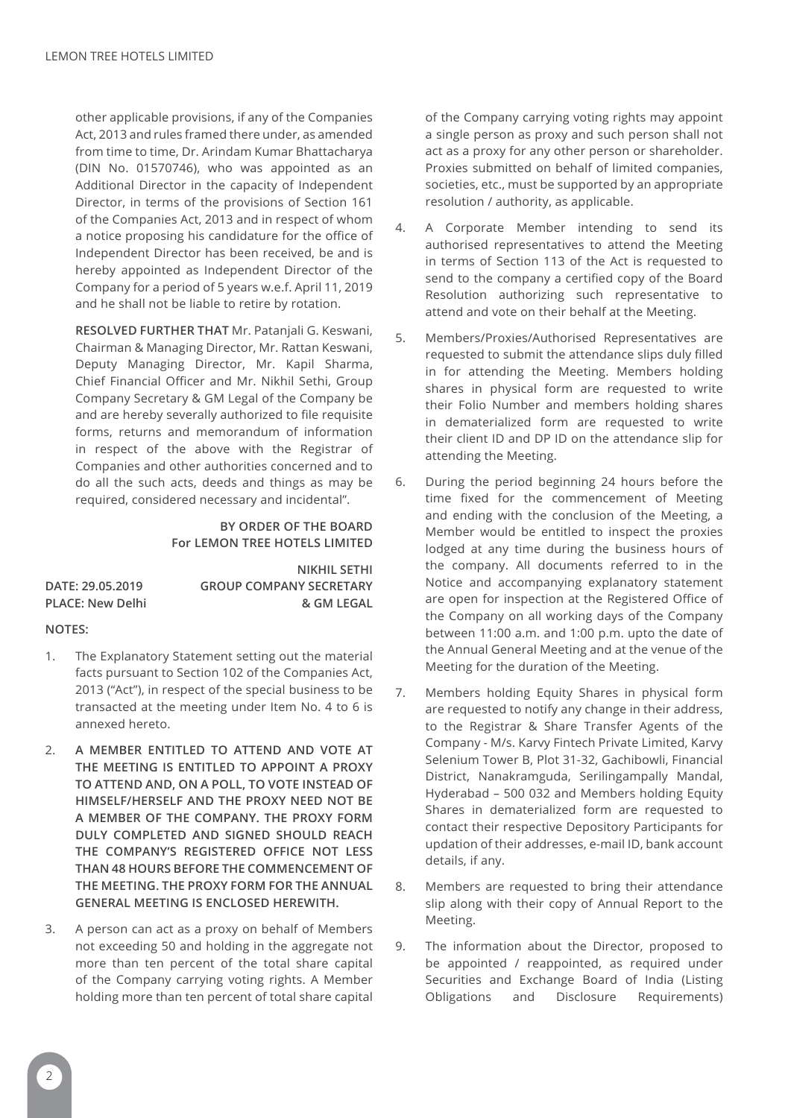other applicable provisions, if any of the Companies Act, 2013 and rules framed there under, as amended from time to time, Dr. Arindam Kumar Bhattacharya (DIN No. 01570746), who was appointed as an Additional Director in the capacity of Independent Director, in terms of the provisions of Section 161 of the Companies Act, 2013 and in respect of whom a notice proposing his candidature for the office of Independent Director has been received, be and is hereby appointed as Independent Director of the Company for a period of 5 years w.e.f. April 11, 2019 and he shall not be liable to retire by rotation.

**RESOLVED FURTHER THAT** Mr. Patanjali G. Keswani, Chairman & Managing Director, Mr. Rattan Keswani, Deputy Managing Director, Mr. Kapil Sharma, Chief Financial Officer and Mr. Nikhil Sethi, Group Company Secretary & GM Legal of the Company be and are hereby severally authorized to file requisite forms, returns and memorandum of information in respect of the above with the Registrar of Companies and other authorities concerned and to do all the such acts, deeds and things as may be required, considered necessary and incidental".

# **BY ORDER OF THE BOARD For LEMON TREE HOTELS LIMITED**

|                  | <b>NIKHIL SETHI</b>            |
|------------------|--------------------------------|
| DATE: 29.05.2019 | <b>GROUP COMPANY SECRETARY</b> |
| PLACE: New Delhi | & GM LEGAL                     |

# **NOTES:**

- 1. The Explanatory Statement setting out the material facts pursuant to Section 102 of the Companies Act, 2013 ("Act"), in respect of the special business to be transacted at the meeting under Item No. 4 to 6 is annexed hereto.
- 2. **A MEMBER ENTITLED TO ATTEND AND VOTE AT THE MEETING IS ENTITLED TO APPOINT A PROXY TO ATTEND AND, ON A POLL, TO VOTE INSTEAD OF HIMSELF/HERSELF AND THE PROXY NEED NOT BE A MEMBER OF THE COMPANY. THE PROXY FORM DULY COMPLETED AND SIGNED SHOULD REACH THE COMPANY'S REGISTERED OFFICE NOT LESS THAN 48 HOURS BEFORE THE COMMENCEMENT OF THE MEETING. THE PROXY FORM FOR THE ANNUAL GENERAL MEETING IS ENCLOSED HEREWITH.**
- 3. A person can act as a proxy on behalf of Members not exceeding 50 and holding in the aggregate not more than ten percent of the total share capital of the Company carrying voting rights. A Member holding more than ten percent of total share capital

of the Company carrying voting rights may appoint a single person as proxy and such person shall not act as a proxy for any other person or shareholder. Proxies submitted on behalf of limited companies, societies, etc., must be supported by an appropriate resolution / authority, as applicable.

- 4. A Corporate Member intending to send its authorised representatives to attend the Meeting in terms of Section 113 of the Act is requested to send to the company a certified copy of the Board Resolution authorizing such representative to attend and vote on their behalf at the Meeting.
- 5. Members/Proxies/Authorised Representatives are requested to submit the attendance slips duly filled in for attending the Meeting. Members holding shares in physical form are requested to write their Folio Number and members holding shares in dematerialized form are requested to write their client ID and DP ID on the attendance slip for attending the Meeting.
- 6. During the period beginning 24 hours before the time fixed for the commencement of Meeting and ending with the conclusion of the Meeting, a Member would be entitled to inspect the proxies lodged at any time during the business hours of the company. All documents referred to in the Notice and accompanying explanatory statement are open for inspection at the Registered Office of the Company on all working days of the Company between 11:00 a.m. and 1:00 p.m. upto the date of the Annual General Meeting and at the venue of the Meeting for the duration of the Meeting.
- 7. Members holding Equity Shares in physical form are requested to notify any change in their address, to the Registrar & Share Transfer Agents of the Company - M/s. Karvy Fintech Private Limited, Karvy Selenium Tower B, Plot 31-32, Gachibowli, Financial District, Nanakramguda, Serilingampally Mandal, Hyderabad – 500 032 and Members holding Equity Shares in dematerialized form are requested to contact their respective Depository Participants for updation of their addresses, e-mail ID, bank account details, if any.
- 8. Members are requested to bring their attendance slip along with their copy of Annual Report to the Meeting.
- 9. The information about the Director, proposed to be appointed / reappointed, as required under Securities and Exchange Board of India (Listing Obligations and Disclosure Requirements)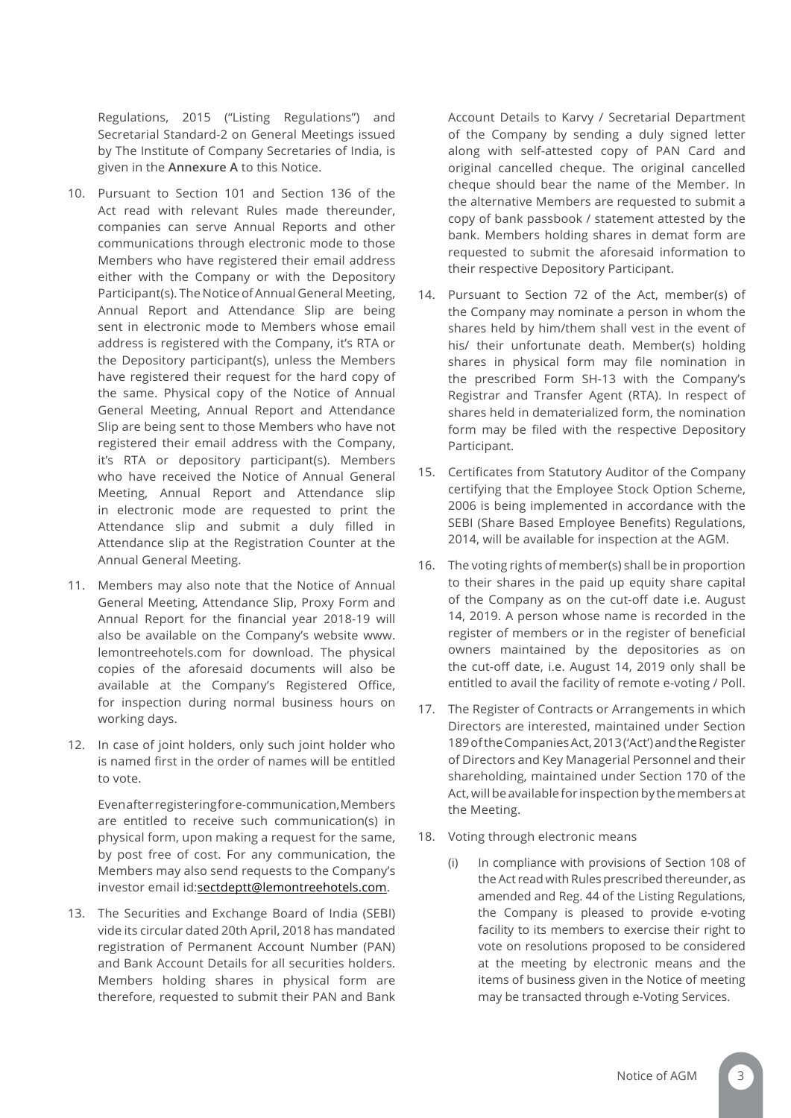Regulations, 2015 ("Listing Regulations") and Secretarial Standard-2 on General Meetings issued by The Institute of Company Secretaries of India, is given in the **Annexure A** to this Notice.

- 10. Pursuant to Section 101 and Section 136 of the Act read with relevant Rules made thereunder, companies can serve Annual Reports and other communications through electronic mode to those Members who have registered their email address either with the Company or with the Depository Participant(s). The Notice of Annual General Meeting, Annual Report and Attendance Slip are being sent in electronic mode to Members whose email address is registered with the Company, it's RTA or the Depository participant(s), unless the Members have registered their request for the hard copy of the same. Physical copy of the Notice of Annual General Meeting, Annual Report and Attendance Slip are being sent to those Members who have not registered their email address with the Company, it's RTA or depository participant(s). Members who have received the Notice of Annual General Meeting, Annual Report and Attendance slip in electronic mode are requested to print the Attendance slip and submit a duly filled in Attendance slip at the Registration Counter at the Annual General Meeting.
- 11. Members may also note that the Notice of Annual General Meeting, Attendance Slip, Proxy Form and Annual Report for the financial year 2018-19 will also be available on the Company's website www. lemontreehotels.com for download. The physical copies of the aforesaid documents will also be available at the Company's Registered Office, for inspection during normal business hours on working days.
- 12. In case of joint holders, only such joint holder who is named first in the order of names will be entitled to vote.

Even after registering for e-communication, Members are entitled to receive such communication(s) in physical form, upon making a request for the same, by post free of cost. For any communication, the Members may also send requests to the Company's investor email id:sectdeptt@lemontreehotels.com.

13. The Securities and Exchange Board of India (SEBI) vide its circular dated 20th April, 2018 has mandated registration of Permanent Account Number (PAN) and Bank Account Details for all securities holders. Members holding shares in physical form are therefore, requested to submit their PAN and Bank

Account Details to Karvy / Secretarial Department of the Company by sending a duly signed letter along with self-attested copy of PAN Card and original cancelled cheque. The original cancelled cheque should bear the name of the Member. In the alternative Members are requested to submit a copy of bank passbook / statement attested by the bank. Members holding shares in demat form are requested to submit the aforesaid information to their respective Depository Participant.

- 14. Pursuant to Section 72 of the Act, member(s) of the Company may nominate a person in whom the shares held by him/them shall vest in the event of his/ their unfortunate death. Member(s) holding shares in physical form may file nomination in the prescribed Form SH-13 with the Company's Registrar and Transfer Agent (RTA). In respect of shares held in dematerialized form, the nomination form may be filed with the respective Depository Participant.
- 15. Certificates from Statutory Auditor of the Company certifying that the Employee Stock Option Scheme, 2006 is being implemented in accordance with the SEBI (Share Based Employee Benefits) Regulations, 2014, will be available for inspection at the AGM.
- 16. The voting rights of member(s) shall be in proportion to their shares in the paid up equity share capital of the Company as on the cut-off date i.e. August 14, 2019. A person whose name is recorded in the register of members or in the register of beneficial owners maintained by the depositories as on the cut-off date, i.e. August 14, 2019 only shall be entitled to avail the facility of remote e-voting / Poll.
- 17. The Register of Contracts or Arrangements in which Directors are interested, maintained under Section 189 of the Companies Act, 2013 ('Act') and the Register of Directors and Key Managerial Personnel and their shareholding, maintained under Section 170 of the Act, will be available for inspection by the members at the Meeting.
- 18. Voting through electronic means
	- (i) In compliance with provisions of Section 108 of the Act read with Rules prescribed thereunder, as amended and Reg. 44 of the Listing Regulations, the Company is pleased to provide e-voting facility to its members to exercise their right to vote on resolutions proposed to be considered at the meeting by electronic means and the items of business given in the Notice of meeting may be transacted through e-Voting Services.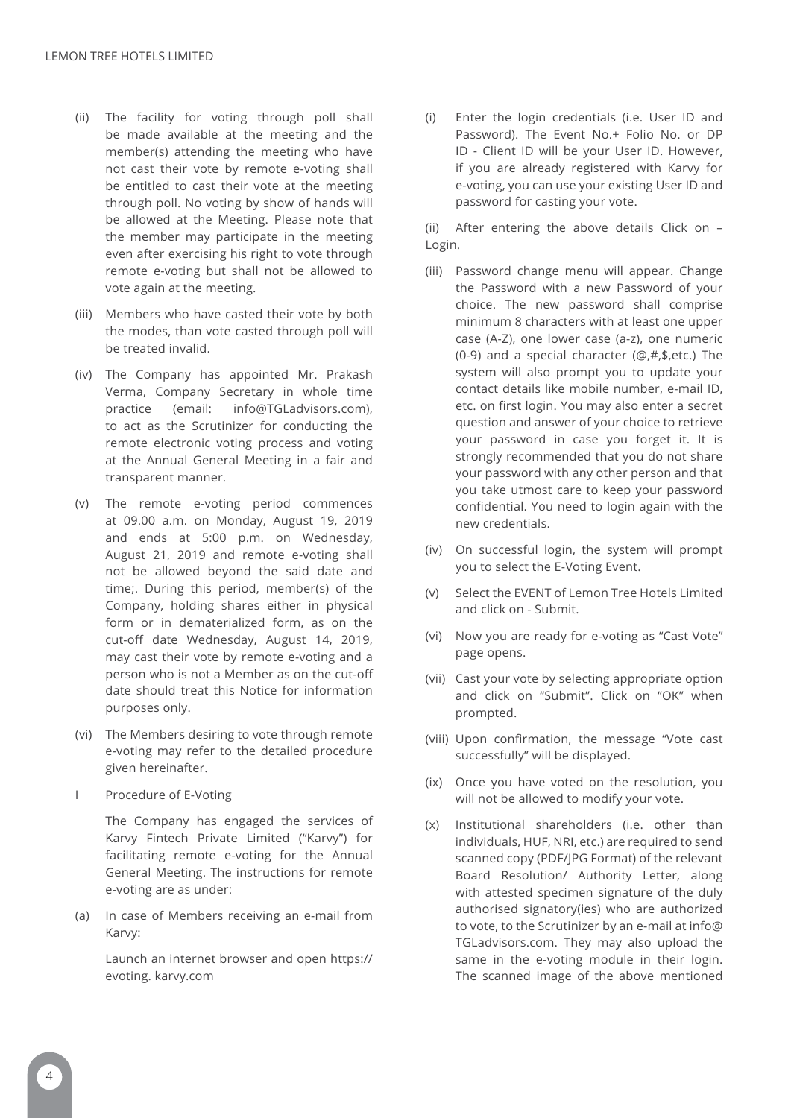- (ii) The facility for voting through poll shall be made available at the meeting and the member(s) attending the meeting who have not cast their vote by remote e-voting shall be entitled to cast their vote at the meeting through poll. No voting by show of hands will be allowed at the Meeting. Please note that the member may participate in the meeting even after exercising his right to vote through remote e-voting but shall not be allowed to vote again at the meeting.
- (iii) Members who have casted their vote by both the modes, than vote casted through poll will be treated invalid.
- (iv) The Company has appointed Mr. Prakash Verma, Company Secretary in whole time practice (email: info@TGLadvisors.com), to act as the Scrutinizer for conducting the remote electronic voting process and voting at the Annual General Meeting in a fair and transparent manner.
- (v) The remote e-voting period commences at 09.00 a.m. on Monday, August 19, 2019 and ends at 5:00 p.m. on Wednesday, August 21, 2019 and remote e-voting shall not be allowed beyond the said date and time;. During this period, member(s) of the Company, holding shares either in physical form or in dematerialized form, as on the cut-off date Wednesday, August 14, 2019, may cast their vote by remote e-voting and a person who is not a Member as on the cut-off date should treat this Notice for information purposes only.
- (vi) The Members desiring to vote through remote e-voting may refer to the detailed procedure given hereinafter.
- I Procedure of E-Voting

 The Company has engaged the services of Karvy Fintech Private Limited ("Karvy") for facilitating remote e-voting for the Annual General Meeting. The instructions for remote e-voting are as under:

(a) In case of Members receiving an e-mail from Karvy:

Launch an internet browser and open https:// evoting. karvy.com

(i) Enter the login credentials (i.e. User ID and Password). The Event No.+ Folio No. or DP ID - Client ID will be your User ID. However, if you are already registered with Karvy for e-voting, you can use your existing User ID and password for casting your vote.

(ii) After entering the above details Click on – Login.

- (iii) Password change menu will appear. Change the Password with a new Password of your choice. The new password shall comprise minimum 8 characters with at least one upper case (A-Z), one lower case (a-z), one numeric (0-9) and a special character (@,#,\$,etc.) The system will also prompt you to update your contact details like mobile number, e-mail ID, etc. on first login. You may also enter a secret question and answer of your choice to retrieve your password in case you forget it. It is strongly recommended that you do not share your password with any other person and that you take utmost care to keep your password confidential. You need to login again with the new credentials.
- (iv) On successful login, the system will prompt you to select the E-Voting Event.
- (v) Select the EVENT of Lemon Tree Hotels Limited and click on - Submit.
- (vi) Now you are ready for e-voting as "Cast Vote" page opens.
- (vii) Cast your vote by selecting appropriate option and click on "Submit". Click on "OK" when prompted.
- (viii) Upon confirmation, the message "Vote cast successfully" will be displayed.
- (ix) Once you have voted on the resolution, you will not be allowed to modify your vote.
- (x) Institutional shareholders (i.e. other than individuals, HUF, NRI, etc.) are required to send scanned copy (PDF/JPG Format) of the relevant Board Resolution/ Authority Letter, along with attested specimen signature of the duly authorised signatory(ies) who are authorized to vote, to the Scrutinizer by an e-mail at info@ TGLadvisors.com. They may also upload the same in the e-voting module in their login. The scanned image of the above mentioned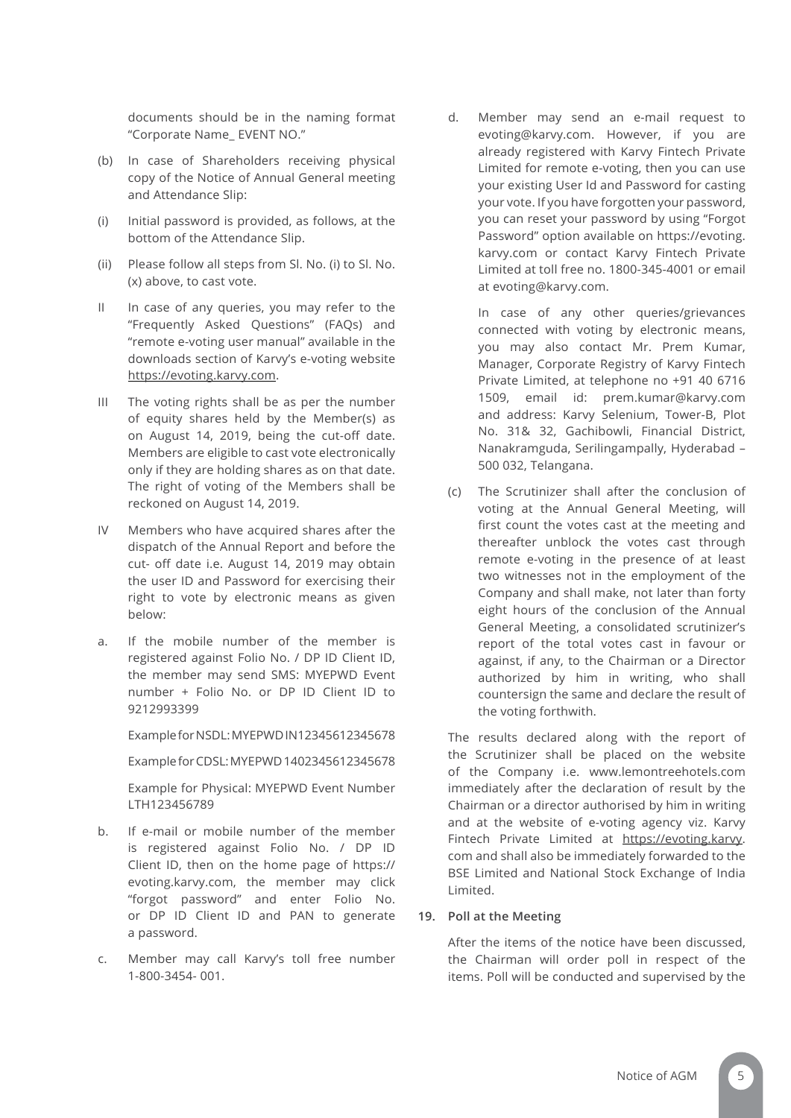documents should be in the naming format "Corporate Name\_ EVENT NO."

- (b) In case of Shareholders receiving physical copy of the Notice of Annual General meeting and Attendance Slip:
- (i) Initial password is provided, as follows, at the bottom of the Attendance Slip.
- (ii) Please follow all steps from Sl. No. (i) to Sl. No. (x) above, to cast vote.
- II In case of any queries, you may refer to the "Frequently Asked Questions" (FAQs) and "remote e-voting user manual" available in the downloads section of Karvy's e-voting website https://evoting.karvy.com.
- III The voting rights shall be as per the number of equity shares held by the Member(s) as on August 14, 2019, being the cut-off date. Members are eligible to cast vote electronically only if they are holding shares as on that date. The right of voting of the Members shall be reckoned on August 14, 2019.
- IV Members who have acquired shares after the dispatch of the Annual Report and before the cut- off date i.e. August 14, 2019 may obtain the user ID and Password for exercising their right to vote by electronic means as given below:
- a. If the mobile number of the member is registered against Folio No. / DP ID Client ID, the member may send SMS: MYEPWD Event number + Folio No. or DP ID Client ID to 9212993399

Example for NSDL: MYEPWD IN12345612345678

Example for CDSL: MYEPWD 1402345612345678

Example for Physical: MYEPWD Event Number LTH123456789

- b. If e-mail or mobile number of the member is registered against Folio No. / DP ID Client ID, then on the home page of https:// evoting.karvy.com, the member may click "forgot password" and enter Folio No. or DP ID Client ID and PAN to generate a password.
- c. Member may call Karvy's toll free number 1-800-3454- 001.

d. Member may send an e-mail request to evoting@karvy.com. However, if you are already registered with Karvy Fintech Private Limited for remote e-voting, then you can use your existing User Id and Password for casting your vote. If you have forgotten your password, you can reset your password by using "Forgot Password" option available on https://evoting. karvy.com or contact Karvy Fintech Private Limited at toll free no. 1800-345-4001 or email at evoting@karvy.com.

> In case of any other queries/grievances connected with voting by electronic means, you may also contact Mr. Prem Kumar, Manager, Corporate Registry of Karvy Fintech Private Limited, at telephone no +91 40 6716 1509, email id: prem.kumar@karvy.com and address: Karvy Selenium, Tower-B, Plot No. 31& 32, Gachibowli, Financial District, Nanakramguda, Serilingampally, Hyderabad – 500 032, Telangana.

(c) The Scrutinizer shall after the conclusion of voting at the Annual General Meeting, will first count the votes cast at the meeting and thereafter unblock the votes cast through remote e-voting in the presence of at least two witnesses not in the employment of the Company and shall make, not later than forty eight hours of the conclusion of the Annual General Meeting, a consolidated scrutinizer's report of the total votes cast in favour or against, if any, to the Chairman or a Director authorized by him in writing, who shall countersign the same and declare the result of the voting forthwith.

The results declared along with the report of the Scrutinizer shall be placed on the website of the Company i.e. www.lemontreehotels.com immediately after the declaration of result by the Chairman or a director authorised by him in writing and at the website of e-voting agency viz. Karvy Fintech Private Limited at https://evoting.karvy. com and shall also be immediately forwarded to the BSE Limited and National Stock Exchange of India Limited.

# **19. Poll at the Meeting**

After the items of the notice have been discussed, the Chairman will order poll in respect of the items. Poll will be conducted and supervised by the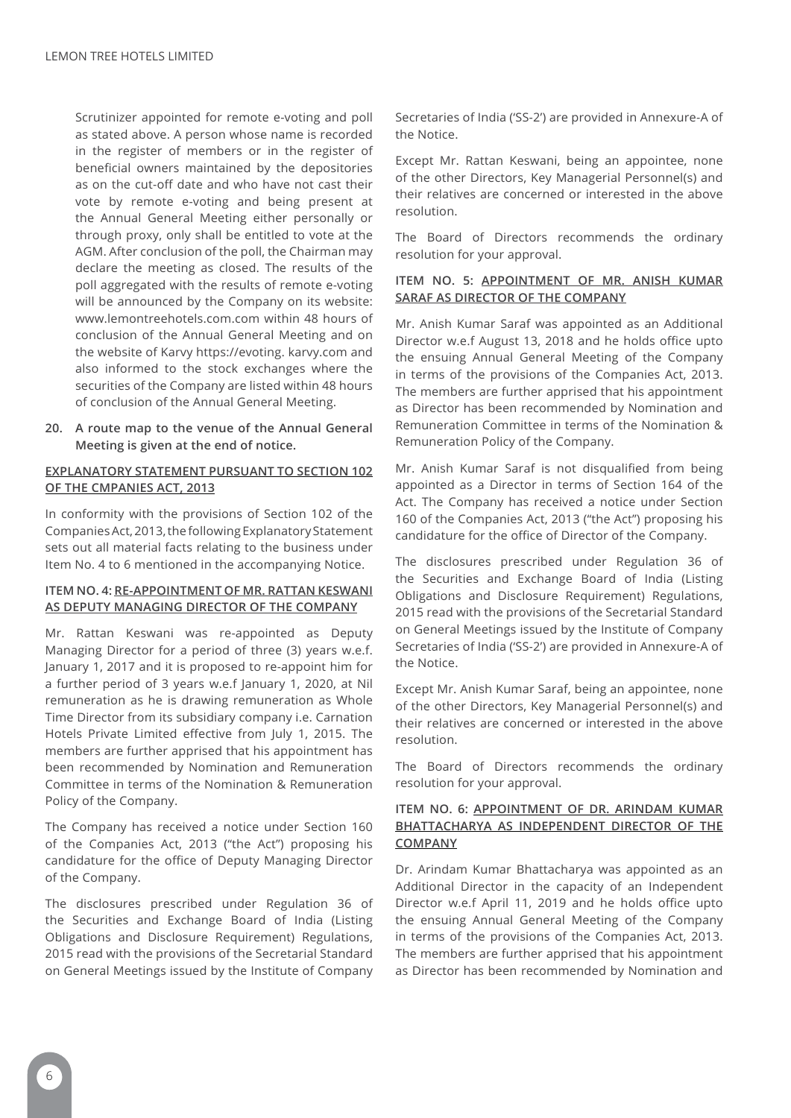Scrutinizer appointed for remote e-voting and poll as stated above. A person whose name is recorded in the register of members or in the register of beneficial owners maintained by the depositories as on the cut-off date and who have not cast their vote by remote e-voting and being present at the Annual General Meeting either personally or through proxy, only shall be entitled to vote at the AGM. After conclusion of the poll, the Chairman may declare the meeting as closed. The results of the poll aggregated with the results of remote e-voting will be announced by the Company on its website: www.lemontreehotels.com.com within 48 hours of conclusion of the Annual General Meeting and on the website of Karvy https://evoting. karvy.com and also informed to the stock exchanges where the securities of the Company are listed within 48 hours of conclusion of the Annual General Meeting.

**20. A route map to the venue of the Annual General Meeting is given at the end of notice.**

# **EXPLANATORY STATEMENT PURSUANT TO SECTION 102 OF THE CMPANIES ACT, 2013**

In conformity with the provisions of Section 102 of the Companies Act, 2013, the following Explanatory Statement sets out all material facts relating to the business under Item No. 4 to 6 mentioned in the accompanying Notice.

# **ITEM NO. 4: RE-APPOINTMENT OF MR. RATTAN KESWANI AS DEPUTY MANAGING DIRECTOR OF THE COMPANY**

Mr. Rattan Keswani was re-appointed as Deputy Managing Director for a period of three (3) years w.e.f. January 1, 2017 and it is proposed to re-appoint him for a further period of 3 years w.e.f January 1, 2020, at Nil remuneration as he is drawing remuneration as Whole Time Director from its subsidiary company i.e. Carnation Hotels Private Limited effective from July 1, 2015. The members are further apprised that his appointment has been recommended by Nomination and Remuneration Committee in terms of the Nomination & Remuneration Policy of the Company.

The Company has received a notice under Section 160 of the Companies Act, 2013 ("the Act") proposing his candidature for the office of Deputy Managing Director of the Company.

The disclosures prescribed under Regulation 36 of the Securities and Exchange Board of India (Listing Obligations and Disclosure Requirement) Regulations, 2015 read with the provisions of the Secretarial Standard on General Meetings issued by the Institute of Company

Secretaries of India ('SS-2') are provided in Annexure-A of the Notice.

Except Mr. Rattan Keswani, being an appointee, none of the other Directors, Key Managerial Personnel(s) and their relatives are concerned or interested in the above resolution.

The Board of Directors recommends the ordinary resolution for your approval.

# **ITEM NO. 5: APPOINTMENT OF MR. ANISH KUMAR SARAF AS DIRECTOR OF THE COMPANY**

Mr. Anish Kumar Saraf was appointed as an Additional Director w.e.f August 13, 2018 and he holds office upto the ensuing Annual General Meeting of the Company in terms of the provisions of the Companies Act, 2013. The members are further apprised that his appointment as Director has been recommended by Nomination and Remuneration Committee in terms of the Nomination & Remuneration Policy of the Company.

Mr. Anish Kumar Saraf is not disqualified from being appointed as a Director in terms of Section 164 of the Act. The Company has received a notice under Section 160 of the Companies Act, 2013 ("the Act") proposing his candidature for the office of Director of the Company.

The disclosures prescribed under Regulation 36 of the Securities and Exchange Board of India (Listing Obligations and Disclosure Requirement) Regulations, 2015 read with the provisions of the Secretarial Standard on General Meetings issued by the Institute of Company Secretaries of India ('SS-2') are provided in Annexure-A of the Notice.

Except Mr. Anish Kumar Saraf, being an appointee, none of the other Directors, Key Managerial Personnel(s) and their relatives are concerned or interested in the above resolution.

The Board of Directors recommends the ordinary resolution for your approval.

# **ITEM NO. 6: APPOINTMENT OF DR. ARINDAM KUMAR BHATTACHARYA AS INDEPENDENT DIRECTOR OF THE COMPANY**

Dr. Arindam Kumar Bhattacharya was appointed as an Additional Director in the capacity of an Independent Director w.e.f April 11, 2019 and he holds office upto the ensuing Annual General Meeting of the Company in terms of the provisions of the Companies Act, 2013. The members are further apprised that his appointment as Director has been recommended by Nomination and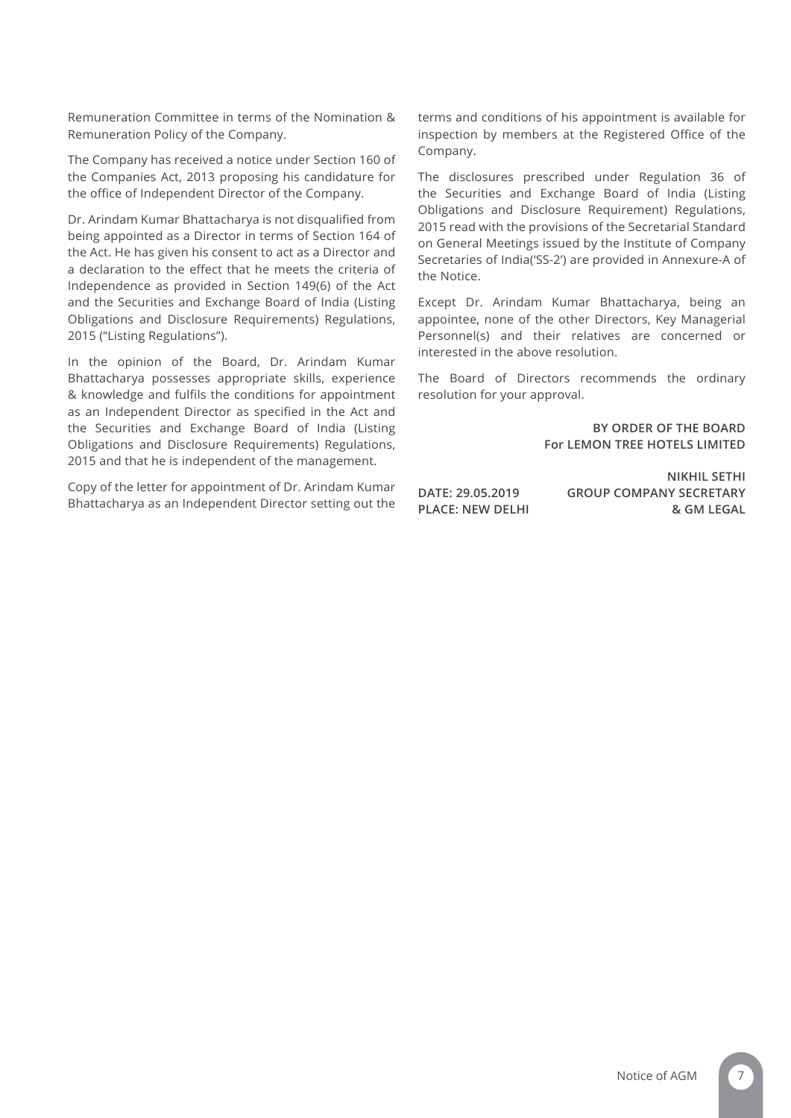Remuneration Committee in terms of the Nomination & Remuneration Policy of the Company.

The Company has received a notice under Section 160 of the Companies Act, 2013 proposing his candidature for the office of Independent Director of the Company.

Dr. Arindam Kumar Bhattacharya is not disqualified from being appointed as a Director in terms of Section 164 of the Act. He has given his consent to act as a Director and a declaration to the effect that he meets the criteria of Independence as provided in Section 149(6) of the Act and the Securities and Exchange Board of India (Listing Obligations and Disclosure Requirements) Regulations, 2015 ("Listing Regulations").

In the opinion of the Board, Dr. Arindam Kumar Bhattacharya possesses appropriate skills, experience & knowledge and fulfils the conditions for appointment as an Independent Director as specified in the Act and the Securities and Exchange Board of India (Listing Obligations and Disclosure Requirements) Regulations, 2015 and that he is independent of the management.

Copy of the letter for appointment of Dr. Arindam Kumar Bhattacharya as an Independent Director setting out the terms and conditions of his appointment is available for inspection by members at the Registered Office of the Company.

The disclosures prescribed under Regulation 36 of the Securities and Exchange Board of India (Listing Obligations and Disclosure Requirement) Regulations, 2015 read with the provisions of the Secretarial Standard on General Meetings issued by the Institute of Company Secretaries of India('SS-2') are provided in Annexure-A of the Notice.

Except Dr. Arindam Kumar Bhattacharya, being an appointee, none of the other Directors, Key Managerial Personnel(s) and their relatives are concerned or interested in the above resolution.

The Board of Directors recommends the ordinary resolution for your approval.

> **BY ORDER OF THE BOARD For LEMON TREE HOTELS LIMITED**

**NIKHIL SETHI DATE: 29.05.2019 GROUP COMPANY SECRETARY PLACE: NEW DELHI & GM LEGAL**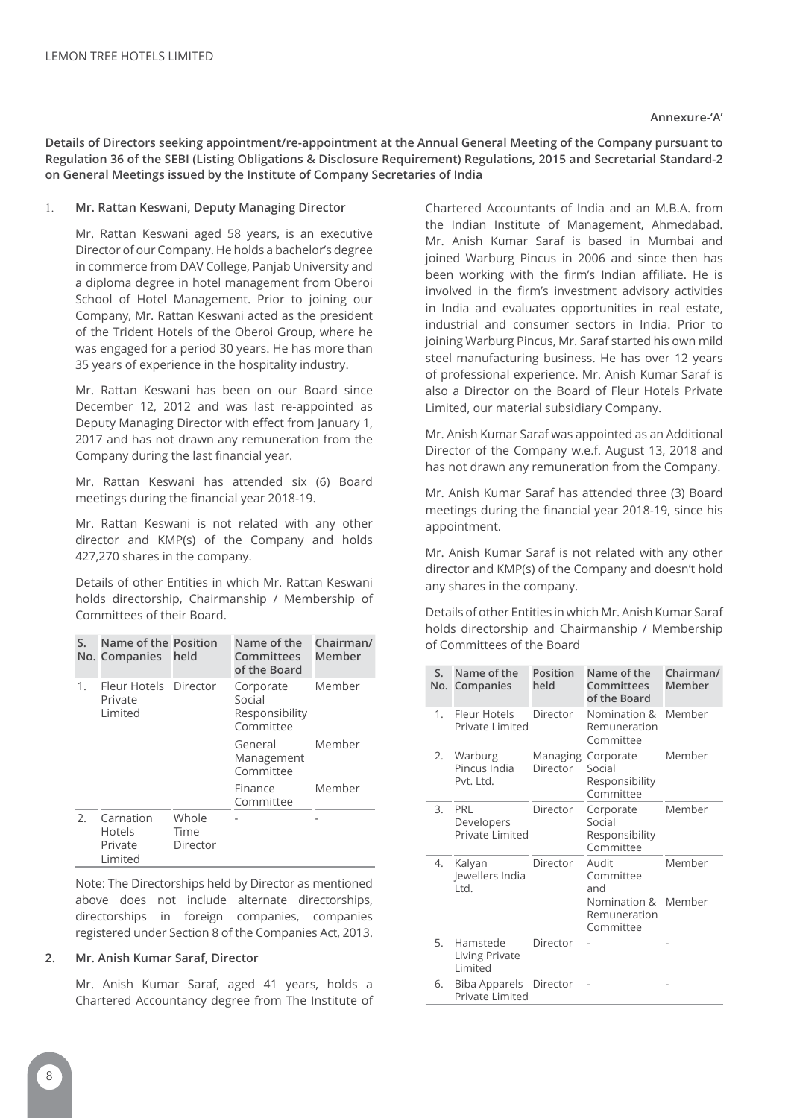## **Annexure-'A'**

**Details of Directors seeking appointment/re-appointment at the Annual General Meeting of the Company pursuant to Regulation 36 of the SEBI (Listing Obligations & Disclosure Requirement) Regulations, 2015 and Secretarial Standard-2 on General Meetings issued by the Institute of Company Secretaries of India**

#### 1. **Mr. Rattan Keswani, Deputy Managing Director**

Mr. Rattan Keswani aged 58 years, is an executive Director of our Company. He holds a bachelor's degree in commerce from DAV College, Panjab University and a diploma degree in hotel management from Oberoi School of Hotel Management. Prior to joining our Company, Mr. Rattan Keswani acted as the president of the Trident Hotels of the Oberoi Group, where he was engaged for a period 30 years. He has more than 35 years of experience in the hospitality industry.

Mr. Rattan Keswani has been on our Board since December 12, 2012 and was last re-appointed as Deputy Managing Director with effect from January 1, 2017 and has not drawn any remuneration from the Company during the last financial year.

Mr. Rattan Keswani has attended six (6) Board meetings during the financial year 2018-19.

Mr. Rattan Keswani is not related with any other director and KMP(s) of the Company and holds 427,270 shares in the company.

Details of other Entities in which Mr. Rattan Keswani holds directorship, Chairmanship / Membership of Committees of their Board.

| S.  | Name of the Position<br>No. Companies            | held                      | Name of the<br>Committees<br>of the Board          | Chairman/<br>Member |
|-----|--------------------------------------------------|---------------------------|----------------------------------------------------|---------------------|
| 1.  | Fleur Hotels Director<br>Private<br>Limited      |                           | Corporate<br>Social<br>Responsibility<br>Committee | Member              |
|     |                                                  |                           | General<br>Management<br>Committee                 | Member              |
|     |                                                  |                           | Finance<br>Committee                               | Member              |
| 2.5 | Carnation<br><b>Hotels</b><br>Private<br>Limited | Whole<br>Time<br>Director |                                                    |                     |

Note: The Directorships held by Director as mentioned above does not include alternate directorships, directorships in foreign companies, companies registered under Section 8 of the Companies Act, 2013.

# **2. Mr. Anish Kumar Saraf, Director**

Mr. Anish Kumar Saraf, aged 41 years, holds a Chartered Accountancy degree from The Institute of Chartered Accountants of India and an M.B.A. from the Indian Institute of Management, Ahmedabad. Mr. Anish Kumar Saraf is based in Mumbai and joined Warburg Pincus in 2006 and since then has been working with the firm's Indian affiliate. He is involved in the firm's investment advisory activities in India and evaluates opportunities in real estate, industrial and consumer sectors in India. Prior to joining Warburg Pincus, Mr. Saraf started his own mild steel manufacturing business. He has over 12 years of professional experience. Mr. Anish Kumar Saraf is also a Director on the Board of Fleur Hotels Private Limited, our material subsidiary Company.

Mr. Anish Kumar Saraf was appointed as an Additional Director of the Company w.e.f. August 13, 2018 and has not drawn any remuneration from the Company.

Mr. Anish Kumar Saraf has attended three (3) Board meetings during the financial year 2018-19, since his appointment.

Mr. Anish Kumar Saraf is not related with any other director and KMP(s) of the Company and doesn't hold any shares in the company.

Details of other Entities in which Mr. Anish Kumar Saraf holds directorship and Chairmanship / Membership of Committees of the Board

| S. | Name of the<br>No. Companies            | Position<br>held     | Name of the<br><b>Committees</b><br>of the Board                       | Chairman/<br>Member |
|----|-----------------------------------------|----------------------|------------------------------------------------------------------------|---------------------|
| 1. | Fleur Hotels<br>Private Limited         | Director             | Nomination &<br>Remuneration<br>Committee                              | Member              |
|    | 2. Warburg<br>Pincus India<br>Pvt. Ltd. | Managing<br>Director | Corporate<br>Social<br>Responsibility<br>Committee                     | Member              |
| 3. | PRI<br>Developers<br>Private Limited    | Director             | Corporate<br>Social<br>Responsibility<br>Committee                     | Member              |
| 4. | Kalyan<br>Jewellers India<br>Ltd.       | Director             | Audit<br>Committee<br>and<br>Nomination &<br>Remuneration<br>Committee | Member<br>Member    |
| 5. | Hamstede<br>Living Private<br>I imited  | Director             |                                                                        |                     |
| 6. | Biba Apparels<br>Private Limited        | Director             |                                                                        |                     |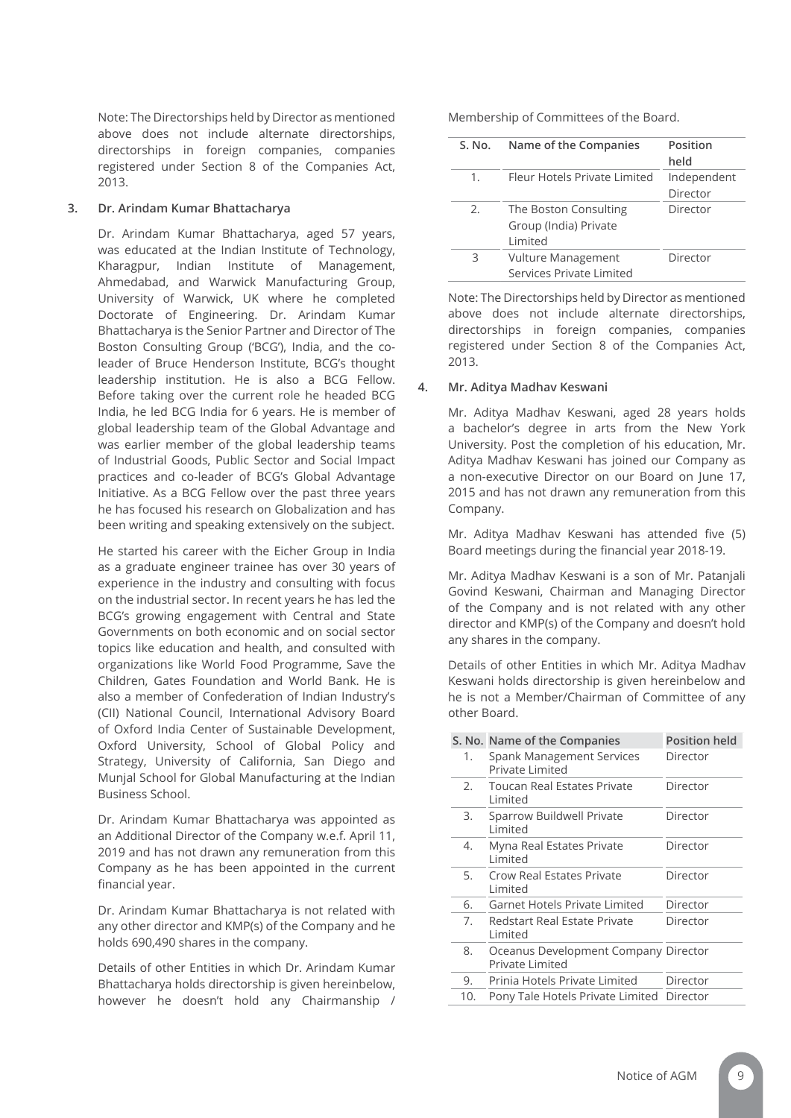Note: The Directorships held by Director as mentioned above does not include alternate directorships, directorships in foreign companies, companies registered under Section 8 of the Companies Act, 2013.

# **3. Dr. Arindam Kumar Bhattacharya**

Dr. Arindam Kumar Bhattacharya, aged 57 years, was educated at the Indian Institute of Technology, Kharagpur, Indian Institute of Management, Ahmedabad, and Warwick Manufacturing Group, University of Warwick, UK where he completed Doctorate of Engineering. Dr. Arindam Kumar Bhattacharya is the Senior Partner and Director of The Boston Consulting Group ('BCG'), India, and the coleader of Bruce Henderson Institute, BCG's thought leadership institution. He is also a BCG Fellow. Before taking over the current role he headed BCG India, he led BCG India for 6 years. He is member of global leadership team of the Global Advantage and was earlier member of the global leadership teams of Industrial Goods, Public Sector and Social Impact practices and co-leader of BCG's Global Advantage Initiative. As a BCG Fellow over the past three years he has focused his research on Globalization and has been writing and speaking extensively on the subject.

He started his career with the Eicher Group in India as a graduate engineer trainee has over 30 years of experience in the industry and consulting with focus on the industrial sector. In recent years he has led the BCG's growing engagement with Central and State Governments on both economic and on social sector topics like education and health, and consulted with organizations like World Food Programme, Save the Children, Gates Foundation and World Bank. He is also a member of Confederation of Indian Industry's (CII) National Council, International Advisory Board of Oxford India Center of Sustainable Development, Oxford University, School of Global Policy and Strategy, University of California, San Diego and Munjal School for Global Manufacturing at the Indian Business School.

Dr. Arindam Kumar Bhattacharya was appointed as an Additional Director of the Company w.e.f. April 11, 2019 and has not drawn any remuneration from this Company as he has been appointed in the current financial year.

Dr. Arindam Kumar Bhattacharya is not related with any other director and KMP(s) of the Company and he holds 690,490 shares in the company.

Details of other Entities in which Dr. Arindam Kumar Bhattacharya holds directorship is given hereinbelow, however he doesn't hold any Chairmanship /

Membership of Committees of the Board.

| S. No. | Name of the Companies        | Position    |
|--------|------------------------------|-------------|
|        |                              | held        |
| 1.     | Fleur Hotels Private Limited | Independent |
|        |                              | Director    |
| 2.     | The Boston Consulting        | Director    |
|        | Group (India) Private        |             |
|        | I imited                     |             |
| ζ      | <b>Vulture Management</b>    | Director    |
|        | Services Private Limited     |             |

Note: The Directorships held by Director as mentioned above does not include alternate directorships, directorships in foreign companies, companies registered under Section 8 of the Companies Act, 2013.

# **4. Mr. Aditya Madhav Keswani**

Mr. Aditya Madhav Keswani, aged 28 years holds a bachelor's degree in arts from the New York University. Post the completion of his education, Mr. Aditya Madhav Keswani has joined our Company as a non-executive Director on our Board on June 17, 2015 and has not drawn any remuneration from this Company.

Mr. Aditya Madhav Keswani has attended five (5) Board meetings during the financial year 2018-19.

Mr. Aditya Madhav Keswani is a son of Mr. Patanjali Govind Keswani, Chairman and Managing Director of the Company and is not related with any other director and KMP(s) of the Company and doesn't hold any shares in the company.

Details of other Entities in which Mr. Aditya Madhav Keswani holds directorship is given hereinbelow and he is not a Member/Chairman of Committee of any other Board.

|     | S. No. Name of the Companies                            | <b>Position held</b> |
|-----|---------------------------------------------------------|----------------------|
| 1.  | Spank Management Services<br>Private Limited            | Director             |
| 2.5 | Toucan Real Estates Private<br>Limited                  | Director             |
| 3.  | Sparrow Buildwell Private<br>I imited                   | Director             |
| 4.  | Myna Real Estates Private<br>I imited                   | Director             |
| 5.  | <b>Crow Real Estates Private</b><br>Limited             | Director             |
| 6.  | Garnet Hotels Private Limited                           | Director             |
| 7.  | Redstart Real Estate Private<br>Limited                 | Director             |
| 8.  | Oceanus Development Company Director<br>Private Limited |                      |
| 9.  | Prinia Hotels Private Limited                           | Director             |
| 10. | Pony Tale Hotels Private Limited Director               |                      |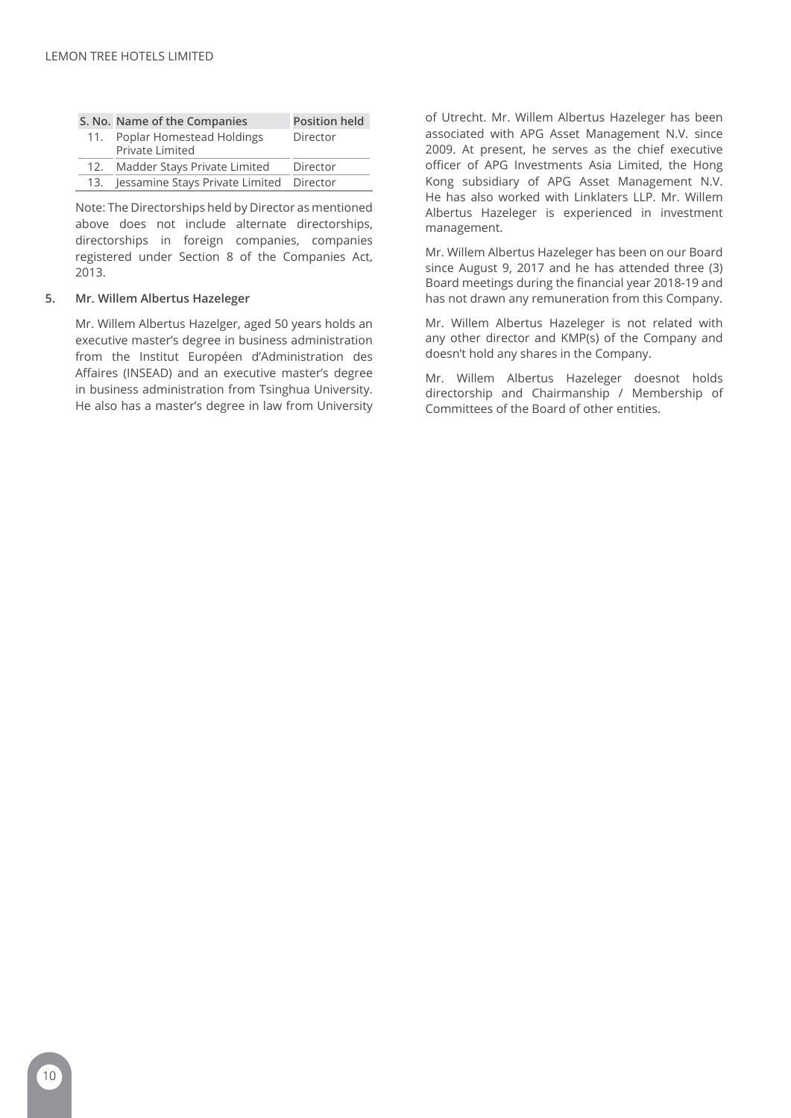|     | S. No. Name of the Companies                 | <b>Position held</b> |
|-----|----------------------------------------------|----------------------|
| 11. | Poplar Homestead Holdings<br>Private Limited | Director             |
| 12. | Madder Stays Private Limited                 | Director             |
| 13. | Jessamine Stays Private Limited Director     |                      |

Note: The Directorships held by Director as mentioned above does not include alternate directorships, directorships in foreign companies, companies registered under Section 8 of the Companies Act, 2013.

# **5. Mr. Willem Albertus Hazeleger**

Mr. Willem Albertus Hazelger, aged 50 years holds an executive master's degree in business administration from the Institut Européen d'Administration des Affaires (INSEAD) and an executive master's degree in business administration from Tsinghua University. He also has a master's degree in law from University of Utrecht. Mr. Willem Albertus Hazeleger has been associated with APG Asset Management N.V. since 2009. At present, he serves as the chief executive officer of APG Investments Asia Limited, the Hong Kong subsidiary of APG Asset Management N.V. He has also worked with Linklaters LLP. Mr. Willem Albertus Hazeleger is experienced in investment management.

Mr. Willem Albertus Hazeleger has been on our Board since August 9, 2017 and he has attended three (3) Board meetings during the financial year 2018-19 and has not drawn any remuneration from this Company.

Mr. Willem Albertus Hazeleger is not related with any other director and KMP(s) of the Company and doesn't hold any shares in the Company.

Mr. Willem Albertus Hazeleger doesnot holds directorship and Chairmanship / Membership of Committees of the Board of other entities.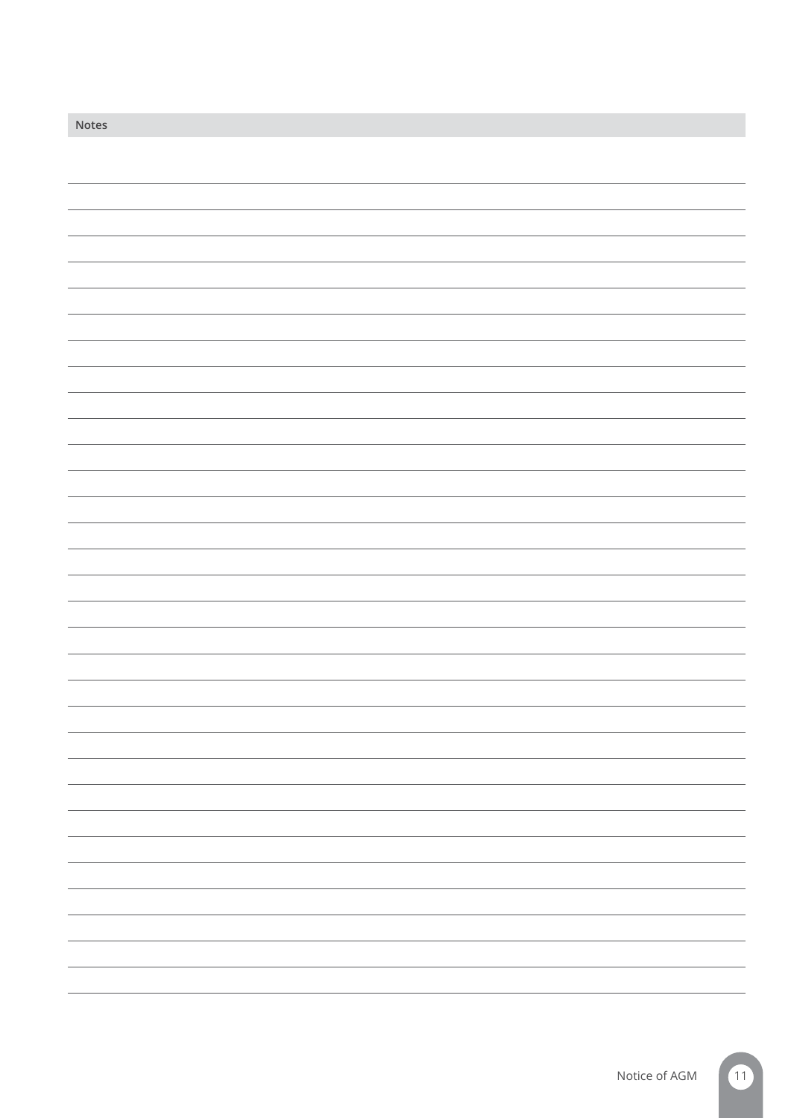| Notes |  |
|-------|--|
|       |  |
|       |  |
|       |  |
|       |  |
|       |  |
|       |  |
|       |  |
|       |  |
|       |  |
|       |  |
|       |  |
|       |  |
|       |  |
|       |  |
|       |  |
|       |  |
|       |  |
|       |  |
|       |  |
|       |  |
|       |  |
|       |  |
|       |  |
|       |  |
|       |  |
|       |  |
|       |  |
|       |  |
|       |  |
|       |  |